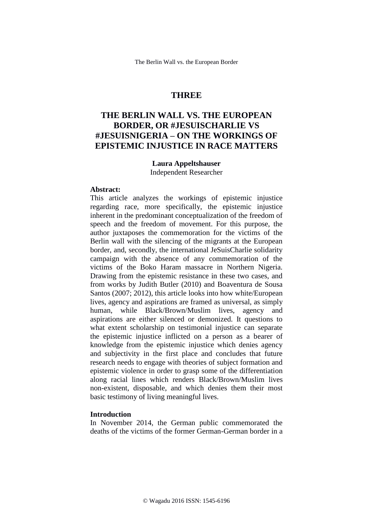# **THREE**

# **THE BERLIN WALL VS. THE EUROPEAN BORDER, OR #JESUISCHARLIE VS #JESUISNIGERIA – ON THE WORKINGS OF EPISTEMIC INJUSTICE IN RACE MATTERS**

## **Laura Appeltshauser**

Independent Researcher

#### **Abstract:**

This article analyzes the workings of epistemic injustice regarding race, more specifically, the epistemic injustice inherent in the predominant conceptualization of the freedom of speech and the freedom of movement. For this purpose, the author juxtaposes the commemoration for the victims of the Berlin wall with the silencing of the migrants at the European border, and, secondly, the international JeSuisCharlie solidarity campaign with the absence of any commemoration of the victims of the Boko Haram massacre in Northern Nigeria. Drawing from the epistemic resistance in these two cases, and from works by Judith Butler (2010) and Boaventura de Sousa Santos (2007; 2012), this article looks into how white/European lives, agency and aspirations are framed as universal, as simply human, while Black/Brown/Muslim lives, agency and aspirations are either silenced or demonized. It questions to what extent scholarship on testimonial injustice can separate the epistemic injustice inflicted on a person as a bearer of knowledge from the epistemic injustice which denies agency and subjectivity in the first place and concludes that future research needs to engage with theories of subject formation and epistemic violence in order to grasp some of the differentiation along racial lines which renders Black/Brown/Muslim lives non-existent, disposable, and which denies them their most basic testimony of living meaningful lives.

#### **Introduction**

In November 2014, the German public commemorated the deaths of the victims of the former German-German border in a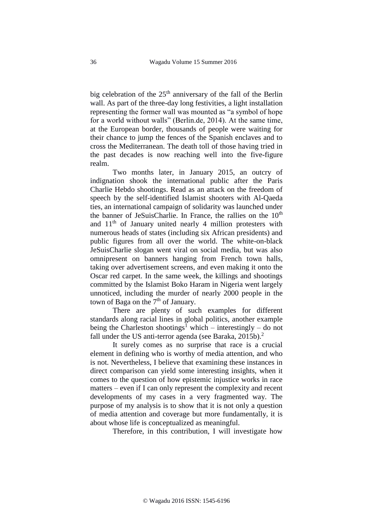big celebration of the 25<sup>th</sup> anniversary of the fall of the Berlin wall. As part of the three-day long festivities, a light installation representing the former wall was mounted as "a symbol of hope for a world without walls" (Berlin.de, 2014). At the same time, at the European border, thousands of people were waiting for their chance to jump the fences of the Spanish enclaves and to cross the Mediterranean. The death toll of those having tried in the past decades is now reaching well into the five-figure realm.

Two months later, in January 2015, an outcry of indignation shook the international public after the Paris Charlie Hebdo shootings. Read as an attack on the freedom of speech by the self-identified Islamist shooters with Al-Qaeda ties, an international campaign of solidarity was launched under the banner of JeSuisCharlie. In France, the rallies on the  $10<sup>th</sup>$ and  $11<sup>th</sup>$  of January united nearly 4 million protesters with numerous heads of states (including six African presidents) and public figures from all over the world. The white-on-black JeSuisCharlie slogan went viral on social media, but was also omnipresent on banners hanging from French town halls, taking over advertisement screens, and even making it onto the Oscar red carpet. In the same week, the killings and shootings committed by the Islamist Boko Haram in Nigeria went largely unnoticed, including the murder of nearly 2000 people in the town of Baga on the 7<sup>th</sup> of January.

There are plenty of such examples for different standards along racial lines in global politics, another example being the Charleston shootings<sup>1</sup> which – interestingly – do not fall under the US anti-terror agenda (see Baraka, 2015b).<sup>2</sup>

It surely comes as no surprise that race is a crucial element in defining who is worthy of media attention, and who is not. Nevertheless, I believe that examining these instances in direct comparison can yield some interesting insights, when it comes to the question of how epistemic injustice works in race matters – even if I can only represent the complexity and recent developments of my cases in a very fragmented way. The purpose of my analysis is to show that it is not only a question of media attention and coverage but more fundamentally, it is about whose life is conceptualized as meaningful.

Therefore, in this contribution, I will investigate how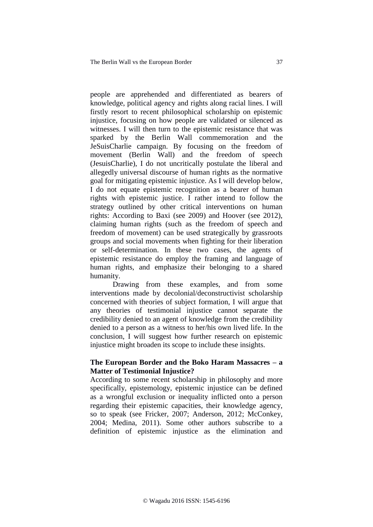people are apprehended and differentiated as bearers of knowledge, political agency and rights along racial lines. I will firstly resort to recent philosophical scholarship on epistemic injustice, focusing on how people are validated or silenced as witnesses. I will then turn to the epistemic resistance that was sparked by the Berlin Wall commemoration and the JeSuisCharlie campaign. By focusing on the freedom of movement (Berlin Wall) and the freedom of speech (JesuisCharlie), I do not uncritically postulate the liberal and allegedly universal discourse of human rights as the normative goal for mitigating epistemic injustice. As I will develop below, I do not equate epistemic recognition as a bearer of human rights with epistemic justice. I rather intend to follow the strategy outlined by other critical interventions on human rights: According to Baxi (see 2009) and Hoover (see 2012), claiming human rights (such as the freedom of speech and freedom of movement) can be used strategically by grassroots groups and social movements when fighting for their liberation or self-determination. In these two cases, the agents of epistemic resistance do employ the framing and language of human rights, and emphasize their belonging to a shared humanity.

Drawing from these examples, and from some interventions made by decolonial/deconstructivist scholarship concerned with theories of subject formation, I will argue that any theories of testimonial injustice cannot separate the credibility denied to an agent of knowledge from the credibility denied to a person as a witness to her/his own lived life. In the conclusion, I will suggest how further research on epistemic injustice might broaden its scope to include these insights.

#### **The European Border and the Boko Haram Massacres – a Matter of Testimonial Injustice?**

According to some recent scholarship in philosophy and more specifically, epistemology, epistemic injustice can be defined as a wrongful exclusion or inequality inflicted onto a person regarding their epistemic capacities, their knowledge agency, so to speak (see Fricker, 2007; Anderson, 2012; McConkey, 2004; Medina, 2011). Some other authors subscribe to a definition of epistemic injustice as the elimination and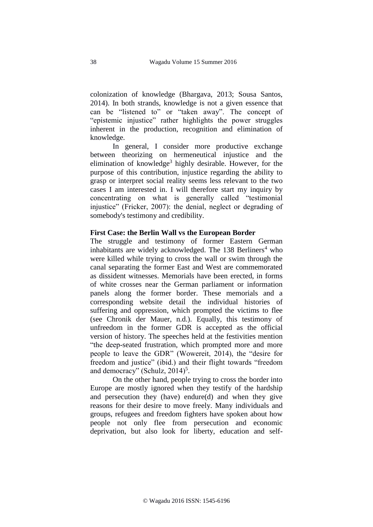colonization of knowledge (Bhargava, 2013; Sousa Santos, 2014). In both strands, knowledge is not a given essence that can be "listened to" or "taken away". The concept of "epistemic injustice" rather highlights the power struggles inherent in the production, recognition and elimination of knowledge.

In general, I consider more productive exchange between theorizing on hermeneutical injustice and the elimination of knowledge<sup>3</sup> highly desirable. However, for the purpose of this contribution, injustice regarding the ability to grasp or interpret social reality seems less relevant to the two cases I am interested in. I will therefore start my inquiry by concentrating on what is generally called "testimonial injustice" (Fricker, 2007): the denial, neglect or degrading of somebody's testimony and credibility.

#### **First Case: the Berlin Wall vs the European Border**

The struggle and testimony of former Eastern German inhabitants are widely acknowledged. The  $138$  Berliners<sup>4</sup> who were killed while trying to cross the wall or swim through the canal separating the former East and West are commemorated as dissident witnesses. Memorials have been erected, in forms of white crosses near the German parliament or information panels along the former border. These memorials and a corresponding website detail the individual histories of suffering and oppression, which prompted the victims to flee (see Chronik der Mauer, n.d.). Equally, this testimony of unfreedom in the former GDR is accepted as the official version of history. The speeches held at the festivities mention "the deep-seated frustration, which prompted more and more people to leave the GDR" (Wowereit, 2014), the "desire for freedom and justice" (ibid.) and their flight towards "freedom and democracy" (Schulz, 2014)<sup>5</sup>.

On the other hand, people trying to cross the border into Europe are mostly ignored when they testify of the hardship and persecution they (have) endure(d) and when they give reasons for their desire to move freely. Many individuals and groups, refugees and freedom fighters have spoken about how people not only flee from persecution and economic deprivation, but also look for liberty, education and self-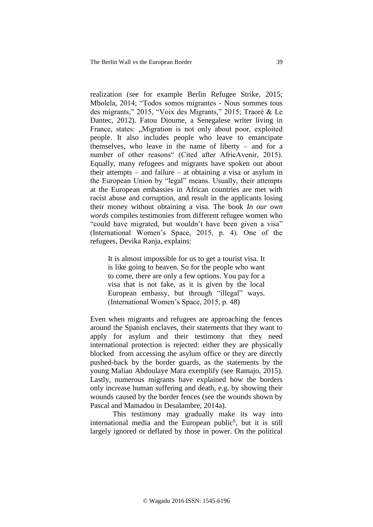realization (see for example Berlin Refugee Strike, 2015; Mbolela, 2014; "Todos somos migrantes - Nous sommes tous des migrants," 2015, "Voix des Migrants," 2015; Traoré & Le Dantec, 2012). Fatou Dioume, a Senegalese writer living in France, states: "Migration is not only about poor, exploited people. It also includes people who leave to emancipate themselves, who leave in the name of liberty – and for a number of other reasons" (Cited after AfricAvenir, 2015). Equally, many refugees and migrants have spoken out about their attempts – and failure – at obtaining a visa or asylum in the European Union by "legal" means. Usually, their attempts at the European embassies in African countries are met with racist abuse and corruption, and result in the applicants losing their money without obtaining a visa. The book *In our own words* compiles testimonies from different refugee women who "could have migrated, but wouldn't have been given a visa" (International Women's Space, 2015, p. 4). One of the refugees, Devika Ranja, explains:

It is almost impossible for us to get a tourist visa. It is like going to heaven. So for the people who want to come, there are only a few options. You pay for a visa that is not fake, as it is given by the local European embassy, but through "illegal" ways. (International Women's Space, 2015, p. 48)

Even when migrants and refugees are approaching the fences around the Spanish enclaves, their statements that they want to apply for asylum and their testimony that they need international protection is rejected: either they are physically blocked from accessing the asylum office or they are directly pushed-back by the border guards, as the statements by the young Malian Abdoulaye Mara exemplify (see Ramajo, 2015). Lastly, numerous migrants have explained how the borders only increase human suffering and death, e.g. by showing their wounds caused by the border fences (see the wounds shown by Pascal and Mamadou in Desalambre, 2014a).

This testimony may gradually make its way into international media and the European public<sup>6</sup>, but it is still largely ignored or deflated by those in power. On the political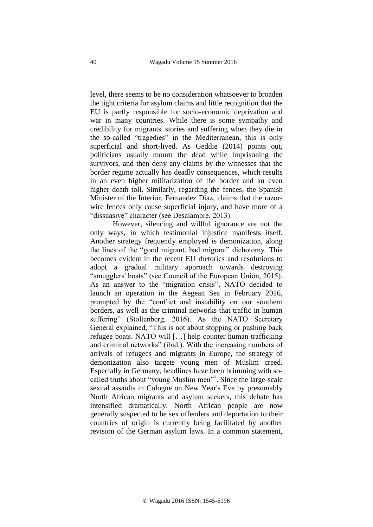level, there seems to be no consideration whatsoever to broaden the tight criteria for asylum claims and little recognition that the EU is partly responsible for socio-economic deprivation and war in many countries. While there is some sympathy and credibility for migrants' stories and suffering when they die in the so-called "tragedies" in the Mediterranean, this is only superficial and short-lived. As Geddie (2014) points out, politicians usually mourn the dead while imprisoning the survivors, and then deny any claims by the witnesses that the border regime actually has deadly consequences, which results in an even higher militarization of the border and an even higher death toll. Similarly, regarding the fences, the Spanish Minister of the Interior, Fernandez Diaz, claims that the razorwire fences only cause superficial injury, and have more of a "dissuasive" character (see Desalambre, 2013).

However, silencing and willful ignorance are not the only ways, in which testimonial injustice manifests itself. Another strategy frequently employed is demonization, along the lines of the "good migrant, bad migrant" dichotomy. This becomes evident in the recent EU rhetorics and resolutions to adopt a gradual military approach towards destroying "smugglers' boats" (see Council of the European Union, 2015). As an answer to the "migration crisis", NATO decided to launch an operation in the Aegean Sea in February 2016, prompted by the "conflict and instability on our southern borders, as well as the criminal networks that traffic in human suffering" (Stoltenberg, 2016). As the NATO Secretary General explained, "This is not about stopping or pushing back refugee boats. NATO will […] help counter human trafficking and criminal networks" (ibid.). With the increasing numbers of arrivals of refugees and migrants in Europe, the strategy of demonization also targets young men of Muslim creed. Especially in Germany, headlines have been brimming with socalled truths about "young Muslim men"<sup>7</sup> . Since the large-scale sexual assaults in Cologne on New Year's Eve by presumably North African migrants and asylum seekers, this debate has intensified dramatically. North African people are now generally suspected to be sex offenders and deportation to their countries of origin is currently being facilitated by another revision of the German asylum laws. In a common statement,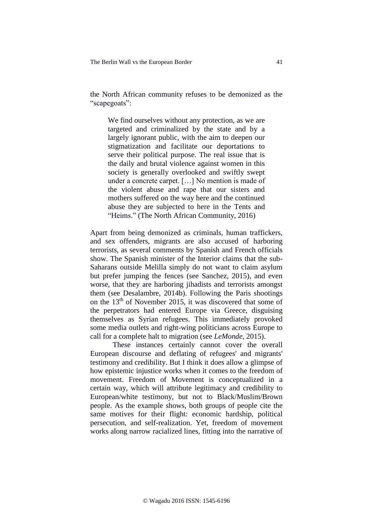The Berlin Wall vs the European Border 41

the North African community refuses to be demonized as the "scapegoats":

We find ourselves without any protection, as we are targeted and criminalized by the state and by a largely ignorant public, with the aim to deepen our stigmatization and facilitate our deportations to serve their political purpose. The real issue that is the daily and brutal violence against women in this society is generally overlooked and swiftly swept under a concrete carpet. […] No mention is made of the violent abuse and rape that our sisters and mothers suffered on the way here and the continued abuse they are subjected to here in the Tents and "Heims." (The North African Community, 2016)

Apart from being demonized as criminals, human traffickers, and sex offenders, migrants are also accused of harboring terrorists, as several comments by Spanish and French officials show. The Spanish minister of the Interior claims that the sub-Saharans outside Melilla simply do not want to claim asylum but prefer jumping the fences (see Sanchez, 2015), and even worse, that they are harboring jihadists and terrorists amongst them (see Desalambre, 2014b). Following the Paris shootings on the 13<sup>th</sup> of November 2015, it was discovered that some of the perpetrators had entered Europe via Greece, disguising themselves as Syrian refugees. This immediately provoked some media outlets and right-wing politicians across Europe to call for a complete halt to migration (see *LeMonde*, 2015).

These instances certainly cannot cover the overall European discourse and deflating of refugees' and migrants' testimony and credibility. But I think it does allow a glimpse of how epistemic injustice works when it comes to the freedom of movement. Freedom of Movement is conceptualized in a certain way, which will attribute legitimacy and credibility to European/white testimony, but not to Black/Muslim/Brown people. As the example shows, both groups of people cite the same motives for their flight: economic hardship, political persecution, and self-realization. Yet, freedom of movement works along narrow racialized lines, fitting into the narrative of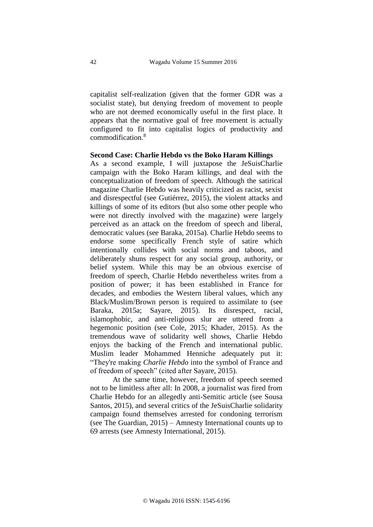capitalist self-realization (given that the former GDR was a socialist state), but denying freedom of movement to people who are not deemed economically useful in the first place. It appears that the normative goal of free movement is actually configured to fit into capitalist logics of productivity and commodification.<sup>8</sup>

#### **Second Case: Charlie Hebdo vs the Boko Haram Killings**

As a second example, I will juxtapose the JeSuisCharlie campaign with the Boko Haram killings, and deal with the conceptualization of freedom of speech. Although the satirical magazine Charlie Hebdo was heavily criticized as racist, sexist and disrespectful (see Gutiérrez, 2015), the violent attacks and killings of some of its editors (but also some other people who were not directly involved with the magazine) were largely perceived as an attack on the freedom of speech and liberal, democratic values (see Baraka, 2015a). Charlie Hebdo seems to endorse some specifically French style of satire which intentionally collides with social norms and taboos, and deliberately shuns respect for any social group, authority, or belief system. While this may be an obvious exercise of freedom of speech, Charlie Hebdo nevertheless writes from a position of power; it has been established in France for decades, and embodies the Western liberal values, which any Black/Muslim/Brown person is required to assimilate to (see Baraka, 2015a; Sayare, 2015). Its disrespect, racial, islamophobic, and anti-religious slur are uttered from a hegemonic position (see Cole, 2015; Khader, 2015). As the tremendous wave of solidarity well shows, Charlie Hebdo enjoys the backing of the French and international public. Muslim leader Mohammed Henniche adequately put it: "They're making *Charlie Hebdo* into the symbol of France and of freedom of speech" (cited after Sayare, 2015).

At the same time, however, freedom of speech seemed not to be limitless after all: In 2008, a journalist was fired from Charlie Hebdo for an allegedly anti-Semitic article (see Sousa Santos, 2015), and several critics of the JeSuisCharlie solidarity campaign found themselves arrested for condoning terrorism (see The Guardian, 2015) – Amnesty International counts up to 69 arrests (see Amnesty International, 2015).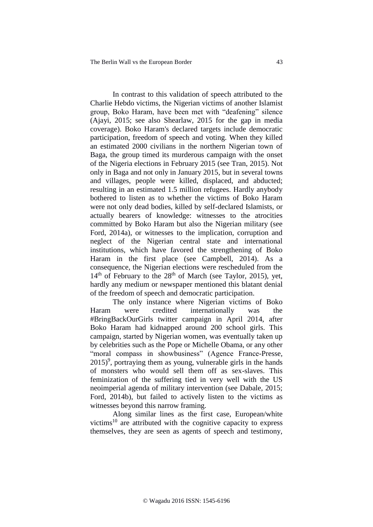In contrast to this validation of speech attributed to the Charlie Hebdo victims, the Nigerian victims of another Islamist group, Boko Haram, have been met with "deafening" silence (Ajayi, 2015; see also Shearlaw, 2015 for the gap in media coverage). Boko Haram's declared targets include democratic participation, freedom of speech and voting. When they killed an estimated 2000 civilians in the northern Nigerian town of Baga, the group timed its murderous campaign with the onset of the Nigeria elections in February 2015 (see Tran, 2015). Not only in Baga and not only in January 2015, but in several towns and villages, people were killed, displaced, and abducted; resulting in an estimated 1.5 million refugees. Hardly anybody bothered to listen as to whether the victims of Boko Haram were not only dead bodies, killed by self-declared Islamists, or actually bearers of knowledge: witnesses to the atrocities committed by Boko Haram but also the Nigerian military (see Ford, 2014a), or witnesses to the implication, corruption and neglect of the Nigerian central state and international institutions, which have favored the strengthening of Boko Haram in the first place (see Campbell, 2014). As a consequence, the Nigerian elections were rescheduled from the  $14<sup>th</sup>$  of February to the  $28<sup>th</sup>$  of March (see Taylor, 2015), yet, hardly any medium or newspaper mentioned this blatant denial of the freedom of speech and democratic participation.

The only instance where Nigerian victims of Boko Haram were credited internationally was the #BringBackOurGirls twitter campaign in April 2014, after Boko Haram had kidnapped around 200 school girls. This campaign, started by Nigerian women, was eventually taken up by celebrities such as the Pope or Michelle Obama, or any other "moral compass in showbusiness" (Agence France-Presse,  $2015$ <sup>9</sup>, portraying them as young, vulnerable girls in the hands of monsters who would sell them off as sex-slaves. This feminization of the suffering tied in very well with the US neoimperial agenda of military intervention (see Dabale, 2015; Ford, 2014b), but failed to actively listen to the victims as witnesses beyond this narrow framing.

Along similar lines as the first case, European/white victims<sup>10</sup> are attributed with the cognitive capacity to express themselves, they are seen as agents of speech and testimony,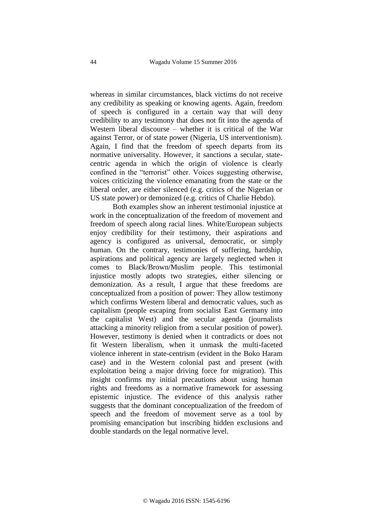whereas in similar circumstances, black victims do not receive any credibility as speaking or knowing agents. Again, freedom of speech is configured in a certain way that will deny credibility to any testimony that does not fit into the agenda of Western liberal discourse – whether it is critical of the War against Terror, or of state power (Nigeria, US interventionism). Again, I find that the freedom of speech departs from its normative universality. However, it sanctions a secular, statecentric agenda in which the origin of violence is clearly confined in the "terrorist" other. Voices suggesting otherwise, voices criticizing the violence emanating from the state or the liberal order, are either silenced (e.g. critics of the Nigerian or US state power) or demonized (e.g. critics of Charlie Hebdo).

Both examples show an inherent testimonial injustice at work in the conceptualization of the freedom of movement and freedom of speech along racial lines. White/European subjects enjoy credibility for their testimony, their aspirations and agency is configured as universal, democratic, or simply human. On the contrary, testimonies of suffering, hardship, aspirations and political agency are largely neglected when it comes to Black/Brown/Muslim people. This testimonial injustice mostly adopts two strategies, either silencing or demonization. As a result, I argue that these freedoms are conceptualized from a position of power: They allow testimony which confirms Western liberal and democratic values, such as capitalism (people escaping from socialist East Germany into the capitalist West) and the secular agenda (journalists attacking a minority religion from a secular position of power). However, testimony is denied when it contradicts or does not fit Western liberalism, when it unmask the multi-faceted violence inherent in state-centrism (evident in the Boko Haram case) and in the Western colonial past and present (with exploitation being a major driving force for migration). This insight confirms my initial precautions about using human rights and freedoms as a normative framework for assessing epistemic injustice. The evidence of this analysis rather suggests that the dominant conceptualization of the freedom of speech and the freedom of movement serve as a tool by promising emancipation but inscribing hidden exclusions and double standards on the legal normative level.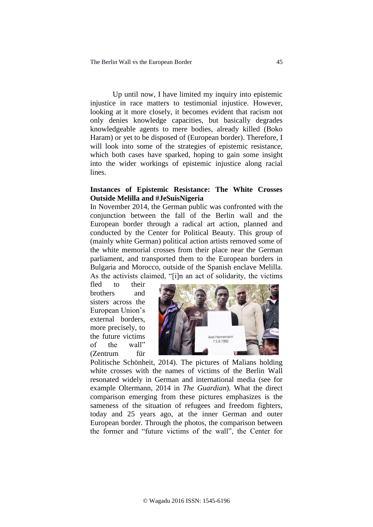Up until now, I have limited my inquiry into epistemic injustice in race matters to testimonial injustice. However, looking at it more closely, it becomes evident that racism not only denies knowledge capacities, but basically degrades knowledgeable agents to mere bodies, already killed (Boko Haram) or yet to be disposed of (European border). Therefore, I will look into some of the strategies of epistemic resistance, which both cases have sparked, hoping to gain some insight into the wider workings of epistemic injustice along racial lines.

#### **Instances of Epistemic Resistance: The White Crosses Outside Melilla and #JeSuisNigeria**

In November 2014, the German public was confronted with the conjunction between the fall of the Berlin wall and the European border through a radical art action, planned and conducted by the Center for Political Beauty. This group of (mainly white German) political action artists removed some of the white memorial crosses from their place near the German parliament, and transported them to the European borders in Bulgaria and Morocco, outside of the Spanish enclave Melilla. As the activists claimed, "[i]n an act of solidarity, the victims

fled to their brothers and sisters across the European Union's external borders, more precisely, to the future victims of the wall" (Zentrum für



Politische Schönheit, 2014). The pictures of Malians holding white crosses with the names of victims of the Berlin Wall resonated widely in German and international media (see for example Oltermann, 2014 in *The Guardian*). What the direct comparison emerging from these pictures emphasizes is the sameness of the situation of refugees and freedom fighters, today and 25 years ago, at the inner German and outer European border. Through the photos, the comparison between the former and "future victims of the wall", the Center for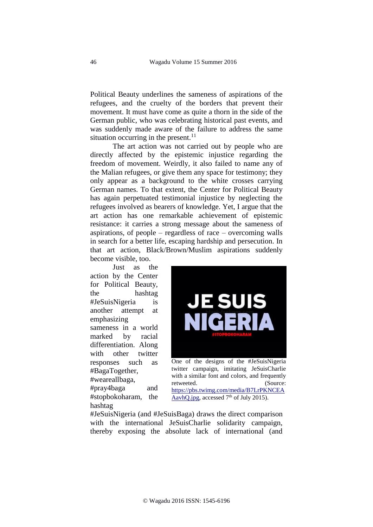Political Beauty underlines the sameness of aspirations of the refugees, and the cruelty of the borders that prevent their movement. It must have come as quite a thorn in the side of the German public, who was celebrating historical past events, and was suddenly made aware of the failure to address the same situation occurring in the present. $^{11}$ 

The art action was not carried out by people who are directly affected by the epistemic injustice regarding the freedom of movement. Weirdly, it also failed to name any of the Malian refugees, or give them any space for testimony; they only appear as a background to the white crosses carrying German names. To that extent, the Center for Political Beauty has again perpetuated testimonial injustice by neglecting the refugees involved as bearers of knowledge. Yet, I argue that the art action has one remarkable achievement of epistemic resistance: it carries a strong message about the sameness of aspirations, of people – regardless of race – overcoming walls in search for a better life, escaping hardship and persecution. In that art action, Black/Brown/Muslim aspirations suddenly become visible, too.

Just as the action by the Center for Political Beauty, the hashtag #JeSuisNigeria is another attempt at emphasizing sameness in a world marked by racial differentiation. Along with other twitter responses such as #BagaTogether, #weareallbaga, #pray4baga and #stopbokoharam, the

hashtag



One of the designs of the #JeSuisNigeria twitter campaign, imitating JeSuisCharlie with a similar font and colors, and frequently retweeted. (Source: [https://pbs.twimg.com/media/B7LrPKNCEA](https://pbs.twimg.com/media/B7LrPKNCEAAavhQ.jpg) [AavhQ.jpg,](https://pbs.twimg.com/media/B7LrPKNCEAAavhQ.jpg) accessed  $7<sup>th</sup>$  of July 2015).

#JeSuisNigeria (and #JeSuisBaga) draws the direct comparison with the international JeSuisCharlie solidarity campaign, thereby exposing the absolute lack of international (and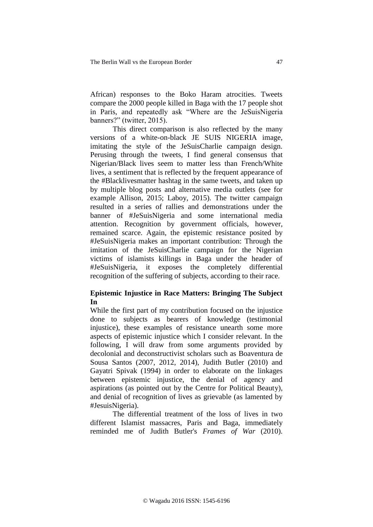African) responses to the Boko Haram atrocities. Tweets compare the 2000 people killed in Baga with the 17 people shot in Paris, and repeatedly ask "Where are the JeSuisNigeria banners?" (twitter, 2015).

This direct comparison is also reflected by the many versions of a white-on-black JE SUIS NIGERIA image, imitating the style of the JeSuisCharlie campaign design. Perusing through the tweets, I find general consensus that Nigerian/Black lives seem to matter less than French/White lives, a sentiment that is reflected by the frequent appearance of the #Blacklivesmatter hashtag in the same tweets, and taken up by multiple blog posts and alternative media outlets (see for example Allison, 2015; Laboy, 2015). The twitter campaign resulted in a series of rallies and demonstrations under the banner of #JeSuisNigeria and some international media attention. Recognition by government officials, however, remained scarce. Again, the epistemic resistance posited by #JeSuisNigeria makes an important contribution: Through the imitation of the JeSuisCharlie campaign for the Nigerian victims of islamists killings in Baga under the header of #JeSuisNigeria, it exposes the completely differential recognition of the suffering of subjects, according to their race.

# **Epistemic Injustice in Race Matters: Bringing The Subject In**

While the first part of my contribution focused on the injustice done to subjects as bearers of knowledge (testimonial injustice), these examples of resistance unearth some more aspects of epistemic injustice which I consider relevant. In the following, I will draw from some arguments provided by decolonial and deconstructivist scholars such as Boaventura de Sousa Santos (2007, 2012, 2014), Judith Butler (2010) and Gayatri Spivak (1994) in order to elaborate on the linkages between epistemic injustice, the denial of agency and aspirations (as pointed out by the Centre for Political Beauty), and denial of recognition of lives as grievable (as lamented by #JesuisNigeria).

The differential treatment of the loss of lives in two different Islamist massacres, Paris and Baga, immediately reminded me of Judith Butler's *Frames of War* (2010).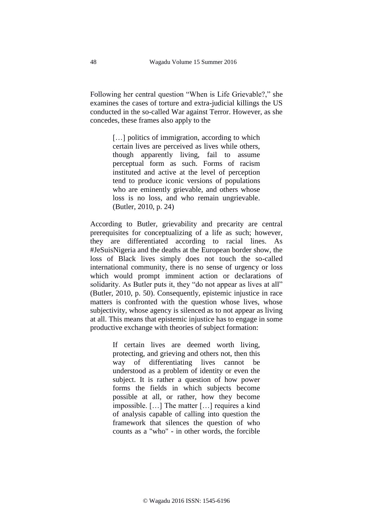Following her central question "When is Life Grievable?," she examines the cases of torture and extra-judicial killings the US conducted in the so-called War against Terror. However, as she concedes, these frames also apply to the

> [...] politics of immigration, according to which certain lives are perceived as lives while others, though apparently living, fail to assume perceptual form as such. Forms of racism instituted and active at the level of perception tend to produce iconic versions of populations who are eminently grievable, and others whose loss is no loss, and who remain ungrievable. (Butler, 2010, p. 24)

According to Butler, grievability and precarity are central prerequisites for conceptualizing of a life as such; however, they are differentiated according to racial lines. As #JeSuisNigeria and the deaths at the European border show, the loss of Black lives simply does not touch the so-called international community, there is no sense of urgency or loss which would prompt imminent action or declarations of solidarity. As Butler puts it, they "do not appear as lives at all" (Butler, 2010, p. 50). Consequently, epistemic injustice in race matters is confronted with the question whose lives, whose subjectivity, whose agency is silenced as to not appear as living at all. This means that epistemic injustice has to engage in some productive exchange with theories of subject formation:

> If certain lives are deemed worth living, protecting, and grieving and others not, then this way of differentiating lives cannot be understood as a problem of identity or even the subject. It is rather a question of how power forms the fields in which subjects become possible at all, or rather, how they become impossible. […] The matter […] requires a kind of analysis capable of calling into question the framework that silences the question of who counts as a "who" - in other words, the forcible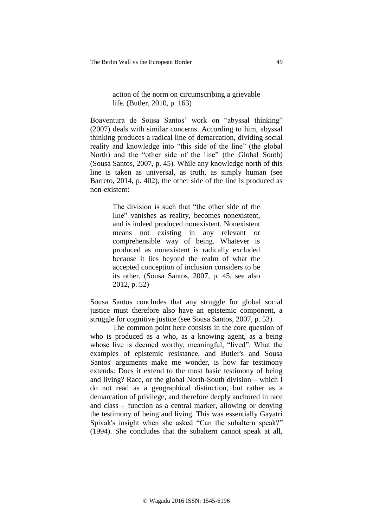# action of the norm on circumscribing a grievable life. (Butler, 2010, p. 163)

Boaventura de Sousa Santos' work on "abyssal thinking" (2007) deals with similar concerns. According to him, abyssal thinking produces a radical line of demarcation, dividing social reality and knowledge into "this side of the line" (the global North) and the "other side of the line" (the Global South) (Sousa Santos, 2007, p. 45). While any knowledge north of this line is taken as universal, as truth, as simply human (see Barreto, 2014, p. 402), the other side of the line is produced as non-existent:

> The division is such that "the other side of the line" vanishes as reality, becomes nonexistent, and is indeed produced nonexistent. Nonexistent means not existing in any relevant or comprehensible way of being. Whatever is produced as nonexistent is radically excluded because it lies beyond the realm of what the accepted conception of inclusion considers to be its other. (Sousa Santos, 2007, p. 45, see also 2012, p. 52)

Sousa Santos concludes that any struggle for global social justice must therefore also have an epistemic component, a struggle for cognitive justice (see Sousa Santos, 2007, p. 53).

The common point here consists in the core question of who is produced as a who, as a knowing agent, as a being whose live is deemed worthy, meaningful, "lived". What the examples of epistemic resistance, and Butler's and Sousa Santos' arguments make me wonder, is how far testimony extends: Does it extend to the most basic testimony of being and living? Race, or the global North-South division – which I do not read as a geographical distinction, but rather as a demarcation of privilege, and therefore deeply anchored in race and class – function as a central marker, allowing or denying the testimony of being and living. This was essentially Gayatri Spivak's insight when she asked "Can the subaltern speak?" (1994). She concludes that the subaltern cannot speak at all,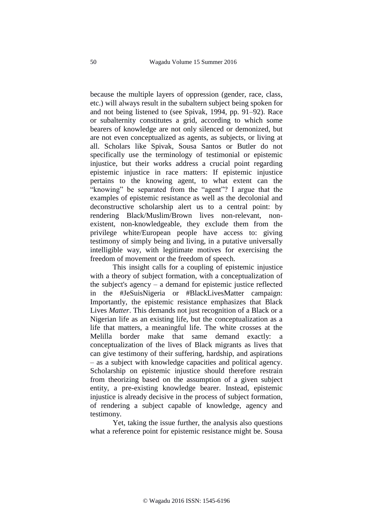because the multiple layers of oppression (gender, race, class, etc.) will always result in the subaltern subject being spoken for and not being listened to (see Spivak, 1994, pp. 91–92). Race or subalternity constitutes a grid, according to which some bearers of knowledge are not only silenced or demonized, but are not even conceptualized as agents, as subjects, or living at all. Scholars like Spivak, Sousa Santos or Butler do not specifically use the terminology of testimonial or epistemic injustice, but their works address a crucial point regarding epistemic injustice in race matters: If epistemic injustice pertains to the knowing agent, to what extent can the "knowing" be separated from the "agent"? I argue that the examples of epistemic resistance as well as the decolonial and deconstructive scholarship alert us to a central point: by rendering Black/Muslim/Brown lives non-relevant, nonexistent, non-knowledgeable, they exclude them from the privilege white/European people have access to: giving testimony of simply being and living, in a putative universally intelligible way, with legitimate motives for exercising the freedom of movement or the freedom of speech.

This insight calls for a coupling of epistemic injustice with a theory of subject formation, with a conceptualization of the subject's agency – a demand for epistemic justice reflected in the #JeSuisNigeria or #BlackLivesMatter campaign: Importantly, the epistemic resistance emphasizes that Black Lives *Matter*. This demands not just recognition of a Black or a Nigerian life as an existing life, but the conceptualization as a life that matters, a meaningful life. The white crosses at the Melilla border make that same demand exactly: a conceptualization of the lives of Black migrants as lives that can give testimony of their suffering, hardship, and aspirations – as a subject with knowledge capacities and political agency. Scholarship on epistemic injustice should therefore restrain from theorizing based on the assumption of a given subject entity, a pre-existing knowledge bearer. Instead, epistemic injustice is already decisive in the process of subject formation, of rendering a subject capable of knowledge, agency and testimony.

Yet, taking the issue further, the analysis also questions what a reference point for epistemic resistance might be. Sousa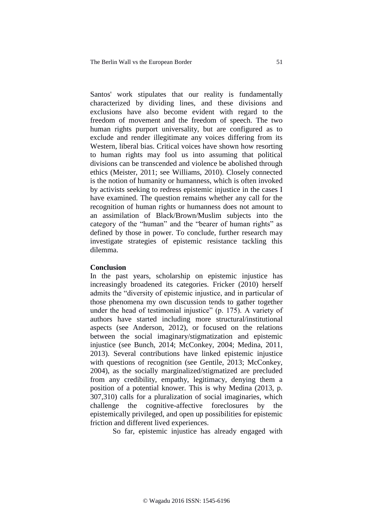Santos' work stipulates that our reality is fundamentally characterized by dividing lines, and these divisions and exclusions have also become evident with regard to the freedom of movement and the freedom of speech. The two human rights purport universality, but are configured as to exclude and render illegitimate any voices differing from its Western, liberal bias. Critical voices have shown how resorting to human rights may fool us into assuming that political divisions can be transcended and violence be abolished through ethics (Meister, 2011; see Williams, 2010). Closely connected is the notion of humanity or humanness, which is often invoked by activists seeking to redress epistemic injustice in the cases I have examined. The question remains whether any call for the recognition of human rights or humanness does not amount to an assimilation of Black/Brown/Muslim subjects into the category of the "human" and the "bearer of human rights" as defined by those in power. To conclude, further research may investigate strategies of epistemic resistance tackling this dilemma.

#### **Conclusion**

In the past years, scholarship on epistemic injustice has increasingly broadened its categories. Fricker (2010) herself admits the "diversity of epistemic injustice, and in particular of those phenomena my own discussion tends to gather together under the head of testimonial injustice" (p. 175). A variety of authors have started including more structural/institutional aspects (see Anderson, 2012), or focused on the relations between the social imaginary/stigmatization and epistemic injustice (see Bunch, 2014; McConkey, 2004; Medina, 2011, 2013). Several contributions have linked epistemic injustice with questions of recognition (see Gentile, 2013; McConkey, 2004), as the socially marginalized/stigmatized are precluded from any credibility, empathy, legitimacy, denying them a position of a potential knower. This is why Medina (2013, p. 307,310) calls for a pluralization of social imaginaries, which challenge the cognitive-affective foreclosures by the epistemically privileged, and open up possibilities for epistemic friction and different lived experiences.

So far, epistemic injustice has already engaged with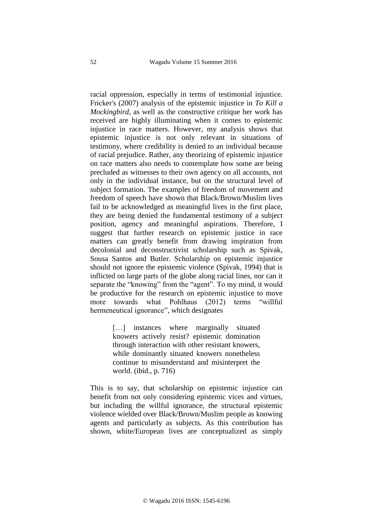racial oppression, especially in terms of testimonial injustice. Fricker's (2007) analysis of the epistemic injustice in *To Kill a Mockingbird*, as well as the constructive critique her work has received are highly illuminating when it comes to epistemic injustice in race matters. However, my analysis shows that epistemic injustice is not only relevant in situations of testimony, where credibility is denied to an individual because of racial prejudice. Rather, any theorizing of epistemic injustice on race matters also needs to contemplate how some are being precluded as witnesses to their own agency on all accounts, not only in the individual instance, but on the structural level of subject formation. The examples of freedom of movement and freedom of speech have shown that Black/Brown/Muslim lives fail to be acknowledged as meaningful lives in the first place, they are being denied the fundamental testimony of a subject position, agency and meaningful aspirations. Therefore, I suggest that further research on epistemic justice in race matters can greatly benefit from drawing inspiration from decolonial and deconstructivist scholarship such as Spivak, Sousa Santos and Butler. Scholarship on epistemic injustice should not ignore the epistemic violence (Spivak, 1994) that is inflicted on large parts of the globe along racial lines, nor can it separate the "knowing" from the "agent". To my mind, it would be productive for the research on epistemic injustice to move more towards what Pohlhaus (2012) terms "willful hermeneutical ignorance", which designates

> [...] instances where marginally situated knowers actively resist? epistemic domination through interaction with other resistant knowers, while dominantly situated knowers nonetheless continue to misunderstand and misinterpret the world. (ibid., p. 716)

This is to say, that scholarship on epistemic injustice can benefit from not only considering epistemic vices and virtues, but including the willful ignorance, the structural epistemic violence wielded over Black/Brown/Muslim people as knowing agents and particularly as subjects. As this contribution has shown, white/European lives are conceptualized as simply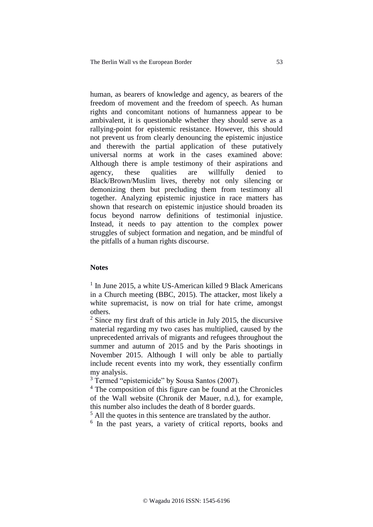human, as bearers of knowledge and agency, as bearers of the freedom of movement and the freedom of speech. As human rights and concomitant notions of humanness appear to be ambivalent, it is questionable whether they should serve as a rallying-point for epistemic resistance. However, this should not prevent us from clearly denouncing the epistemic injustice and therewith the partial application of these putatively universal norms at work in the cases examined above: Although there is ample testimony of their aspirations and agency, these qualities are willfully denied to Black/Brown/Muslim lives, thereby not only silencing or demonizing them but precluding them from testimony all together. Analyzing epistemic injustice in race matters has shown that research on epistemic injustice should broaden its focus beyond narrow definitions of testimonial injustice. Instead, it needs to pay attention to the complex power struggles of subject formation and negation, and be mindful of the pitfalls of a human rights discourse.

#### **Notes**

<sup>1</sup> In June 2015, a white US-American killed 9 Black Americans in a Church meeting (BBC, 2015). The attacker, most likely a white supremacist, is now on trial for hate crime, amongst others.

 $2$  Since my first draft of this article in July 2015, the discursive material regarding my two cases has multiplied, caused by the unprecedented arrivals of migrants and refugees throughout the summer and autumn of 2015 and by the Paris shootings in November 2015. Although I will only be able to partially include recent events into my work, they essentially confirm my analysis.

<sup>3</sup> Termed "epistemicide" by Sousa Santos (2007).

<sup>4</sup> The composition of this figure can be found at the Chronicles of the Wall website (Chronik der Mauer, n.d.), for example, this number also includes the death of 8 border guards.

 $<sup>5</sup>$  All the quotes in this sentence are translated by the author.</sup>

<sup>6</sup> In the past years, a variety of critical reports, books and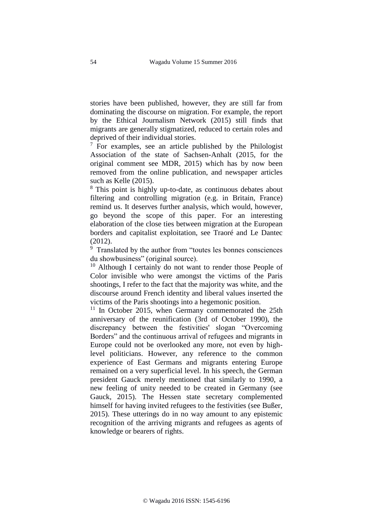stories have been published, however, they are still far from dominating the discourse on migration. For example, the report by the Ethical Journalism Network (2015) still finds that migrants are generally stigmatized, reduced to certain roles and deprived of their individual stories.

 $7$  For examples, see an article published by the Philologist Association of the state of Sachsen-Anhalt (2015, for the original comment see MDR, 2015) which has by now been removed from the online publication, and newspaper articles such as Kelle (2015).

<sup>8</sup> This point is highly up-to-date, as continuous debates about filtering and controlling migration (e.g. in Britain, France) remind us. It deserves further analysis, which would, however, go beyond the scope of this paper. For an interesting elaboration of the close ties between migration at the European borders and capitalist exploitation, see Traoré and Le Dantec (2012).

<sup>9</sup> Translated by the author from "toutes les bonnes consciences du showbusiness" (original source).

<sup>10</sup> Although I certainly do not want to render those People of Color invisible who were amongst the victims of the Paris shootings, I refer to the fact that the majority was white, and the discourse around French identity and liberal values inserted the victims of the Paris shootings into a hegemonic position.

 $11$  In October 2015, when Germany commemorated the 25th anniversary of the reunification (3rd of October 1990), the discrepancy between the festivities' slogan "Overcoming Borders" and the continuous arrival of refugees and migrants in Europe could not be overlooked any more, not even by highlevel politicians. However, any reference to the common experience of East Germans and migrants entering Europe remained on a very superficial level. In his speech, the German president Gauck merely mentioned that similarly to 1990, a new feeling of unity needed to be created in Germany (see Gauck, 2015). The Hessen state secretary complemented himself for having invited refugees to the festivities (see Bußer, 2015). These utterings do in no way amount to any epistemic recognition of the arriving migrants and refugees as agents of knowledge or bearers of rights.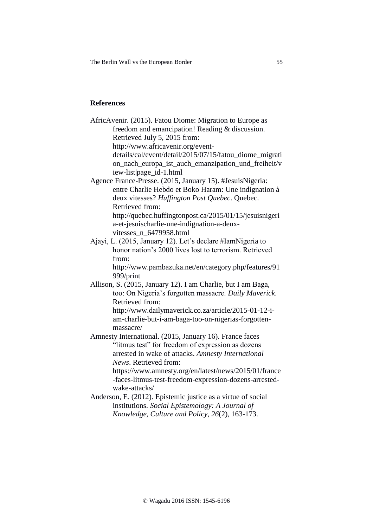The Berlin Wall vs the European Border 55

# **References**

| AfricAvenir. (2015). Fatou Diome: Migration to Europe as                       |
|--------------------------------------------------------------------------------|
| freedom and emancipation! Reading & discussion.                                |
| Retrieved July 5, 2015 from:                                                   |
| http://www.africavenir.org/event-                                              |
| details/cal/event/detail/2015/07/15/fatou_diome_migrati                        |
| on_nach_europa_ist_auch_emanzipation_und_freiheit/v<br>iew-list page_id-1.html |
| Agence France-Presse. (2015, January 15). #JesuisNigeria:                      |
| entre Charlie Hebdo et Boko Haram: Une indignation à                           |
| deux vitesses? Huffington Post Quebec. Quebec.                                 |
| Retrieved from:                                                                |
| http://quebec.huffingtonpost.ca/2015/01/15/jesuisnigeri                        |
| a-et-jesuischarlie-une-indignation-a-deux-                                     |
| vitesses_n_6479958.html                                                        |
| Ajayi, L. (2015, January 12). Let's declare #IamNigeria to                     |
| honor nation's 2000 lives lost to terrorism. Retrieved                         |
| from:                                                                          |
| http://www.pambazuka.net/en/category.php/features/91                           |
| 999/print                                                                      |
| Allison, S. (2015, January 12). I am Charlie, but I am Baga,                   |
| too: On Nigeria's forgotten massacre. Daily Maverick.                          |
| Retrieved from:                                                                |
| http://www.dailymaverick.co.za/article/2015-01-12-i-                           |
| am-charlie-but-i-am-baga-too-on-nigerias-forgotten-                            |
| massacre/                                                                      |
| Amnesty International. (2015, January 16). France faces                        |
| "litmus test" for freedom of expression as dozens                              |
| arrested in wake of attacks. Amnesty International                             |
| News. Retrieved from:                                                          |
| https://www.amnesty.org/en/latest/news/2015/01/france                          |
| -faces-litmus-test-freedom-expression-dozens-arrested-                         |
| wake-attacks/                                                                  |
| Anderson, E. (2012). Epistemic justice as a virtue of social                   |
| institutions. Social Epistemology: A Journal of                                |
| Knowledge, Culture and Policy, 26(2), 163-173.                                 |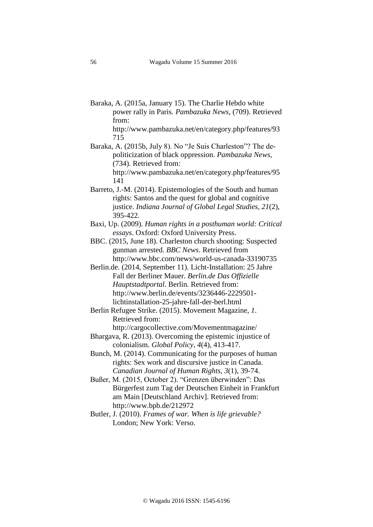- Baraka, A. (2015a, January 15). The Charlie Hebdo white power rally in Paris. *Pambazuka News*, (709). Retrieved from:
	- http://www.pambazuka.net/en/category.php/features/93 715
- Baraka, A. (2015b, July 8). No "Je Suis Charleston"? The depoliticization of black oppression. *Pambazuka News*, (734). Retrieved from: http://www.pambazuka.net/en/category.php/features/95
- Barreto, J.-M. (2014). Epistemologies of the South and human rights: Santos and the quest for global and cognitive justice. *Indiana Journal of Global Legal Studies*, *21*(2), 395-422.
- Baxi, Up. (2009). *Human rights in a posthuman world: Critical essays*. Oxford: Oxford University Press.
- BBC. (2015, June 18). Charleston church shooting: Suspected gunman arrested. *BBC News*. Retrieved from <http://www.bbc.com/news/world-us-canada-33190735>
- Berlin.de. (2014, September 11). Licht-Installation: 25 Jahre Fall der Berliner Mauer. *Berlin.de Das Offizielle Hauptstadtportal*. Berlin. Retrieved from: http://www.berlin.de/events/3236446-2229501 lichtinstallation-25-jahre-fall-der-berl.html
- Berlin Refugee Strike. (2015). Movement Magazine, *1*. Retrieved from:
- http://cargocollective.com/Movementmagazine/ Bhargava, R. (2013). Overcoming the epistemic injustice of colonialism. *Global Policy*, *4*(4), 413-417.
- Bunch, M. (2014). Communicating for the purposes of human rights: Sex work and discursive justice in Canada. *Canadian Journal of Human Rights*, *3*(1), 39-74.
- Bußer, M. (2015, October 2). "Grenzen überwinden": Das Bürgerfest zum Tag der Deutschen Einheit in Frankfurt am Main [Deutschland Archiv]. Retrieved from: http://www.bpb.de/212972
- Butler, J. (2010). *Frames of war. When is life grievable?* London; New York: Verso.

141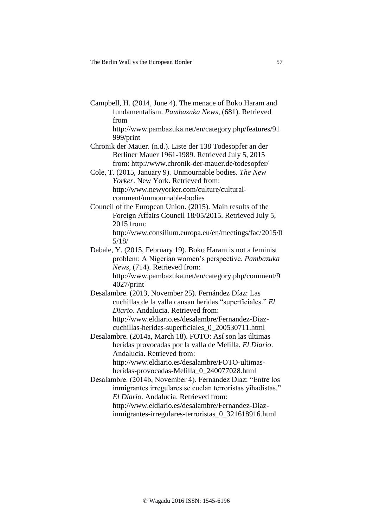Campbell, H. (2014, June 4). The menace of Boko Haram and fundamentalism. *Pambazuka News*, (681). Retrieved from

http://www.pambazuka.net/en/category.php/features/91 999/print

Chronik der Mauer. (n.d.). Liste der 138 Todesopfer an der Berliner Mauer 1961-1989. Retrieved July 5, 2015 from: http://www.chronik-der-mauer.de/todesopfer/

Cole, T. (2015, January 9). Unmournable bodies. *The New Yorker*. New York. Retrieved from: http://www.newyorker.com/culture/culturalcomment/unmournable-bodies

Council of the European Union. (2015). Main results of the Foreign Affairs Council 18/05/2015. Retrieved July 5, 2015 from: http://www.consilium.europa.eu/en/meetings/fac/2015/0 5/18/

Dabale, Y. (2015, February 19). Boko Haram is not a feminist problem: A Nigerian women's perspective. *Pambazuka News*, (714). Retrieved from: http://www.pambazuka.net/en/category.php/comment/9

4027/print Desalambre. (2013, November 25). Fernández Díaz: Las cuchillas de la valla causan heridas "superficiales." *El* 

*Diario*. Andalucia. Retrieved from: http://www.eldiario.es/desalambre/Fernandez-Diazcuchillas-heridas-superficiales\_0\_200530711.html

Desalambre. (2014a, March 18). FOTO: Así son las últimas heridas provocadas por la valla de Melilla. *El Diario*. Andalucia. Retrieved from: http://www.eldiario.es/desalambre/FOTO-ultimas-

heridas-provocadas-Melilla\_0\_240077028.html

Desalambre. (2014b, November 4). Fernández Díaz: "Entre los inmigrantes irregulares se cuelan terroristas yihadistas." *El Diario*. Andalucia. Retrieved from:

[http://www.eldiario.es/desalambre/Fernandez-Diaz](http://www.eldiario.es/desalambre/Fernandez-Diaz-inmigrantes-irregulares-terroristas_0_321618916.html)[inmigrantes-irregulares-terroristas\\_0\\_321618916.html](http://www.eldiario.es/desalambre/Fernandez-Diaz-inmigrantes-irregulares-terroristas_0_321618916.html)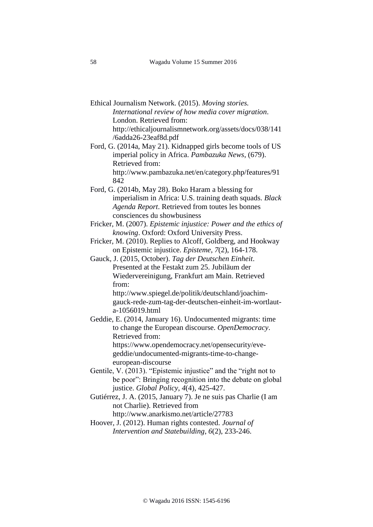- Ethical Journalism Network. (2015). *Moving stories. International review of how media cover migration*. London. Retrieved from: http://ethicaljournalismnetwork.org/assets/docs/038/141 /6adda26-23eaf8d.pdf
- Ford, G. (2014a, May 21). Kidnapped girls become tools of US imperial policy in Africa. *Pambazuka News*, (679). Retrieved from: http://www.pambazuka.net/en/category.php/features/91 842
- Ford, G. (2014b, May 28). Boko Haram a blessing for imperialism in Africa: U.S. training death squads. *Black Agenda Report*. Retrieved from toutes les bonnes consciences du showbusiness
- Fricker, M. (2007). *Epistemic injustice: Power and the ethics of knowing*. Oxford: Oxford University Press.
- Fricker, M. (2010). Replies to Alcoff, Goldberg, and Hookway on Epistemic injustice. *Episteme*, *7*(2), 164-178.
- Gauck, J. (2015, October). *Tag der Deutschen Einheit*. Presented at the Festakt zum 25. Jubiläum der Wiedervereinigung, Frankfurt am Main. Retrieved from:

http://www.spiegel.de/politik/deutschland/joachimgauck-rede-zum-tag-der-deutschen-einheit-im-wortlauta-1056019.html

- Geddie, E. (2014, January 16). Undocumented migrants: time to change the European discourse. *OpenDemocracy*. Retrieved from: https://www.opendemocracy.net/opensecurity/evegeddie/undocumented-migrants-time-to-changeeuropean-discourse
- Gentile, V. (2013). "Epistemic injustice" and the "right not to be poor": Bringing recognition into the debate on global justice. *Global Policy*, *4*(4), 425-427.
- Gutiérrez, J. A. (2015, January 7). Je ne suis pas Charlie (I am not Charlie). Retrieved from

http://www.anarkismo.net/article/27783

Hoover, J. (2012). Human rights contested. *Journal of Intervention and Statebuilding*, *6*(2), 233-246.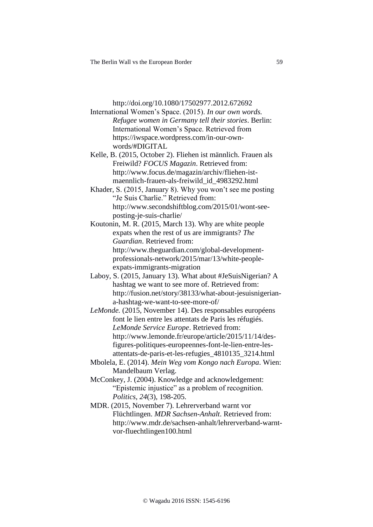http://doi.org/10.1080/17502977.2012.672692

International Women's Space. (2015). *In our own words. Refugee women in Germany tell their stories*. Berlin: International Women's Space. Retrieved from [https://iwspace.wordpress.com/in-our-own](https://iwspace.wordpress.com/in-our-own-words/#DIGITAL)[words/#DIGITAL](https://iwspace.wordpress.com/in-our-own-words/#DIGITAL)

Kelle, B. (2015, October 2). Fliehen ist männlich. Frauen als Freiwild? *FOCUS Magazin*. Retrieved from: http://www.focus.de/magazin/archiv/fliehen-istmaennlich-frauen-als-freiwild\_id\_4983292.html

Khader, S. (2015, January 8). Why you won't see me posting "Je Suis Charlie." Retrieved from: http://www.secondshiftblog.com/2015/01/wont-seeposting-je-suis-charlie/

Koutonin, M. R. (2015, March 13). Why are white people expats when the rest of us are immigrants? *The Guardian*. Retrieved from: http://www.theguardian.com/global-developmentprofessionals-network/2015/mar/13/white-peopleexpats-immigrants-migration

Laboy, S. (2015, January 13). What about #JeSuisNigerian? A hashtag we want to see more of. Retrieved from: http://fusion.net/story/38133/what-about-jesuisnigeriana-hashtag-we-want-to-see-more-of/

*LeMonde.* (2015, November 14). Des responsables européens font le lien entre les attentats de Paris les réfugiés. *LeMonde Service Europe*. Retrieved from: http://www.lemonde.fr/europe/article/2015/11/14/desfigures-politiques-europeennes-font-le-lien-entre-lesattentats-de-paris-et-les-refugies\_4810135\_3214.html

Mbolela, E. (2014). *Mein Weg vom Kongo nach Europa*. Wien: Mandelbaum Verlag.

McConkey, J. (2004). Knowledge and acknowledgement: "Epistemic injustice" as a problem of recognition. *Politics*, *24*(3), 198-205.

MDR. (2015, November 7). Lehrerverband warnt vor Flüchtlingen. *MDR Sachsen-Anhalt*. Retrieved from: [http://www.mdr.de/sachsen-anhalt/lehrerverband-warnt](http://www.mdr.de/sachsen-anhalt/lehrerverband-warnt-vor-fluechtlingen100.html)[vor-fluechtlingen100.html](http://www.mdr.de/sachsen-anhalt/lehrerverband-warnt-vor-fluechtlingen100.html)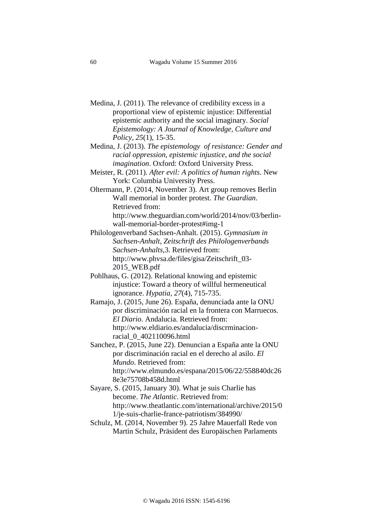- Medina, J. (2011). The relevance of credibility excess in a proportional view of epistemic injustice: Differential epistemic authority and the social imaginary. *Social Epistemology: A Journal of Knowledge, Culture and Policy*, *25*(1), 15-35.
- Medina, J. (2013). *The epistemology of resistance: Gender and racial oppression, epistemic injustice, and the social imagination*. Oxford: Oxford University Press.
- Meister, R. (2011). *After evil: A politics of human rights*. New York: Columbia University Press.
- Oltermann, P. (2014, November 3). Art group removes Berlin Wall memorial in border protest. *The Guardian*. Retrieved from: http://www.theguardian.com/world/2014/nov/03/berlin-

wall-memorial-border-protest#img-1

- Philologenverband Sachsen-Anhalt. (2015). *Gymnasium in Sachsen-Anhalt*, *Zeitschrift des Philologenverbands Sachsen-Anhalts*,3. Retrieved from: http://www.phvsa.de/files/gisa/Zeitschrift\_03- 2015\_WEB.pdf
- Pohlhaus, G. (2012). Relational knowing and epistemic injustice: Toward a theory of willful hermeneutical ignorance. *Hypatia*, *27*(4), 715-735.
- Ramajo, J. (2015, June 26). España, denunciada ante la ONU por discriminación racial en la frontera con Marruecos. *El Diario*. Andalucia. Retrieved from: http://www.eldiario.es/andalucia/discrminacionracial\_0\_402110096.html
- Sanchez, P. (2015, June 22). Denuncian a España ante la ONU por discriminación racial en el derecho al asilo. *El Mundo*. Retrieved from: http://www.elmundo.es/espana/2015/06/22/558840dc26 8e3e75708b458d.html
- Sayare, S. (2015, January 30). What je suis Charlie has become. *The Atlantic*. Retrieved from: http://www.theatlantic.com/international/archive/2015/0 1/je-suis-charlie-france-patriotism/384990/
- Schulz, M. (2014, November 9). 25 Jahre Mauerfall Rede von Martin Schulz, Präsident des Europäischen Parlaments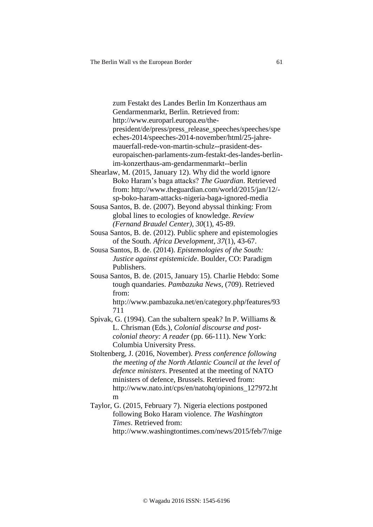zum Festakt des Landes Berlin Im Konzerthaus am Gendarmenmarkt, Berlin. Retrieved from: http://www.europarl.europa.eu/thepresident/de/press/press\_release\_speeches/speeches/spe eches-2014/speeches-2014-november/html/25-jahremauerfall-rede-von-martin-schulz--prasident-deseuropaischen-parlaments-zum-festakt-des-landes-berlinim-konzerthaus-am-gendarmenmarkt--berlin

Shearlaw, M. (2015, January 12). Why did the world ignore Boko Haram's baga attacks? *The Guardian*. Retrieved from: http://www.theguardian.com/world/2015/jan/12/ sp-boko-haram-attacks-nigeria-baga-ignored-media

Sousa Santos, B. de. (2007). Beyond abyssal thinking: From global lines to ecologies of knowledge. *Review (Fernand Braudel Center)*, *30*(1), 45-89.

Sousa Santos, B. de. (2012). Public sphere and epistemologies of the South. *Africa Development*, *37*(1), 43-67.

- Sousa Santos, B. de. (2014). *Epistemologies of the South: Justice against epistemicide*. Boulder, CO: Paradigm Publishers.
- Sousa Santos, B. de. (2015, January 15). Charlie Hebdo: Some tough quandaries. *Pambazuka News*, (709). Retrieved from:

http://www.pambazuka.net/en/category.php/features/93 711

- Spivak, G. (1994). Can the subaltern speak? In P. Williams & L. Chrisman (Eds.), *Colonial discourse and postcolonial theory: A reader* (pp. 66-111). New York: Columbia University Press.
- Stoltenberg, J. (2016, November). *Press conference following the meeting of the North Atlantic Council at the level of defence ministers*. Presented at the meeting of NATO ministers of defence, Brussels. Retrieved from: http://www.nato.int/cps/en/natohq/opinions\_127972.ht m
- Taylor, G. (2015, February 7). Nigeria elections postponed following Boko Haram violence. *The Washington Times*. Retrieved from: http://www.washingtontimes.com/news/2015/feb/7/nige